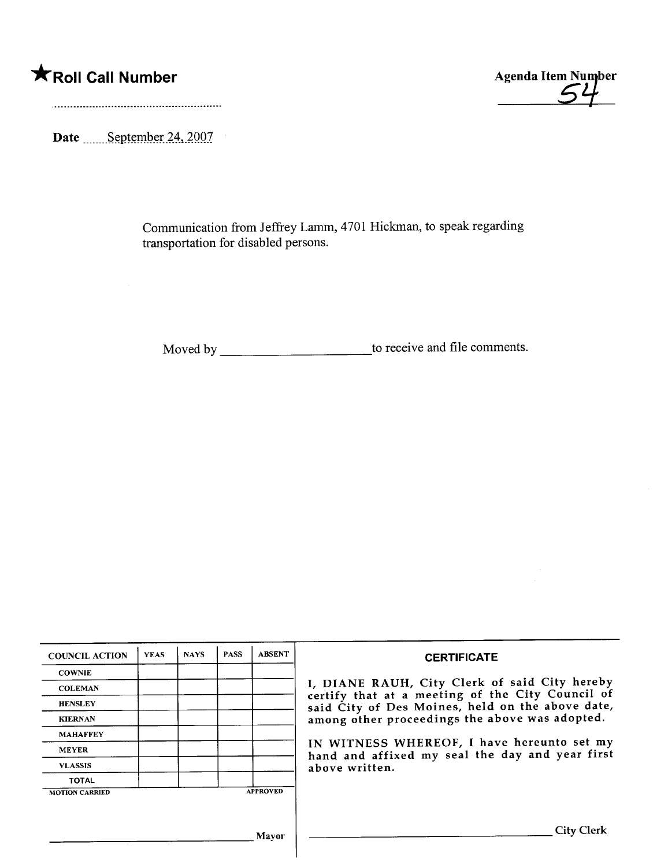

Date September 24, 2007

Communication from Jeffrey Lamm, 4701 Hickman, to speak regarding transportation for disabled persons.

Moved by to receive and fie comments.

| <b>COUNCIL ACTION</b> | <b>YEAS</b> | <b>NAYS</b> | <b>PASS</b> | <b>ABSENT</b>   | <b>CERTIFICATE</b>                                                                                                                                                                                      |
|-----------------------|-------------|-------------|-------------|-----------------|---------------------------------------------------------------------------------------------------------------------------------------------------------------------------------------------------------|
| <b>COWNIE</b>         |             |             |             |                 |                                                                                                                                                                                                         |
| <b>COLEMAN</b>        |             |             |             |                 | I, DIANE RAUH, City Clerk of said City hereby<br>certify that at a meeting of the City Council of<br>said City of Des Moines, held on the above date,<br>among other proceedings the above was adopted. |
| <b>HENSLEY</b>        |             |             |             |                 |                                                                                                                                                                                                         |
| <b>KIERNAN</b>        |             |             |             |                 |                                                                                                                                                                                                         |
| <b>MAHAFFEY</b>       |             |             |             |                 |                                                                                                                                                                                                         |
| <b>MEYER</b>          |             |             |             |                 | IN WITNESS WHEREOF, I have hereunto set my<br>hand and affixed my seal the day and year first<br>above written.                                                                                         |
| <b>VLASSIS</b>        |             |             |             |                 |                                                                                                                                                                                                         |
| <b>TOTAL</b>          |             |             |             |                 |                                                                                                                                                                                                         |
| <b>MOTION CARRIED</b> |             |             |             | <b>APPROVED</b> |                                                                                                                                                                                                         |
|                       |             |             |             |                 |                                                                                                                                                                                                         |
|                       |             |             |             | <b>Mayor</b>    | City Clerk                                                                                                                                                                                              |